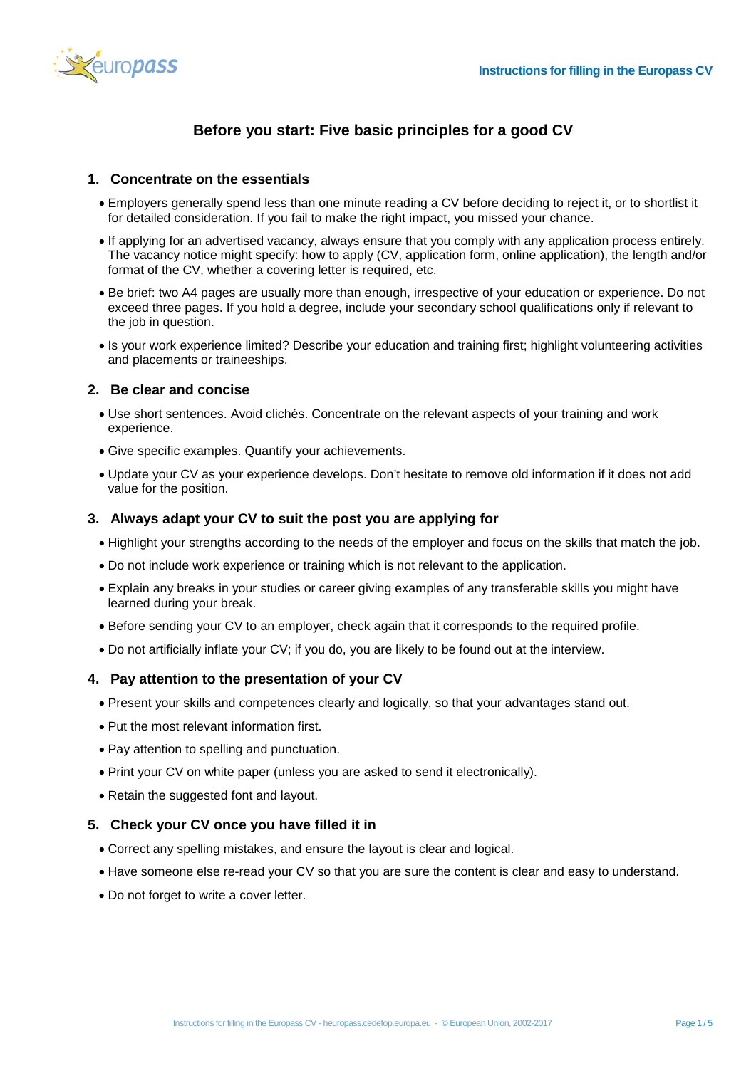

# **Before you start: Five basic principles for a good CV**

#### **1. Concentrate on the essentials**

- Employers generally spend less than one minute reading a CV before deciding to reject it, or to shortlist it for detailed consideration. If you fail to make the right impact, you missed your chance.
- If applying for an advertised vacancy, always ensure that you comply with any application process entirely. The vacancy notice might specify: how to apply (CV, application form, online application), the length and/or format of the CV, whether a covering letter is required, etc.
- Be brief: two A4 pages are usually more than enough, irrespective of your education or experience. Do not exceed three pages. If you hold a degree, include your secondary school qualifications only if relevant to the job in question.
- Is your work experience limited? Describe your education and training first; highlight volunteering activities and placements or traineeships.

## **2. Be clear and concise**

- Use short sentences. Avoid clichés. Concentrate on the relevant aspects of your training and work experience.
- Give specific examples. Quantify your achievements.
- Update your CV as your experience develops. Don't hesitate to remove old information if it does not add value for the position.

#### **3. Always adapt your CV to suit the post you are applying for**

- Highlight your strengths according to the needs of the employer and focus on the skills that match the job.
- Do not include work experience or training which is not relevant to the application.
- Explain any breaks in your studies or career giving examples of any transferable skills you might have learned during your break.
- Before sending your CV to an employer, check again that it corresponds to the required profile.
- Do not artificially inflate your CV; if you do, you are likely to be found out at the interview.

#### **4. Pay attention to the presentation of your CV**

- Present your skills and competences clearly and logically, so that your advantages stand out.
- Put the most relevant information first.
- Pay attention to spelling and punctuation.
- Print your CV on white paper (unless you are asked to send it electronically).
- Retain the suggested font and layout.

### **5. Check your CV once you have filled it in**

- Correct any spelling mistakes, and ensure the layout is clear and logical.
- Have someone else re-read your CV so that you are sure the content is clear and easy to understand.
- Do not forget to write a cover letter.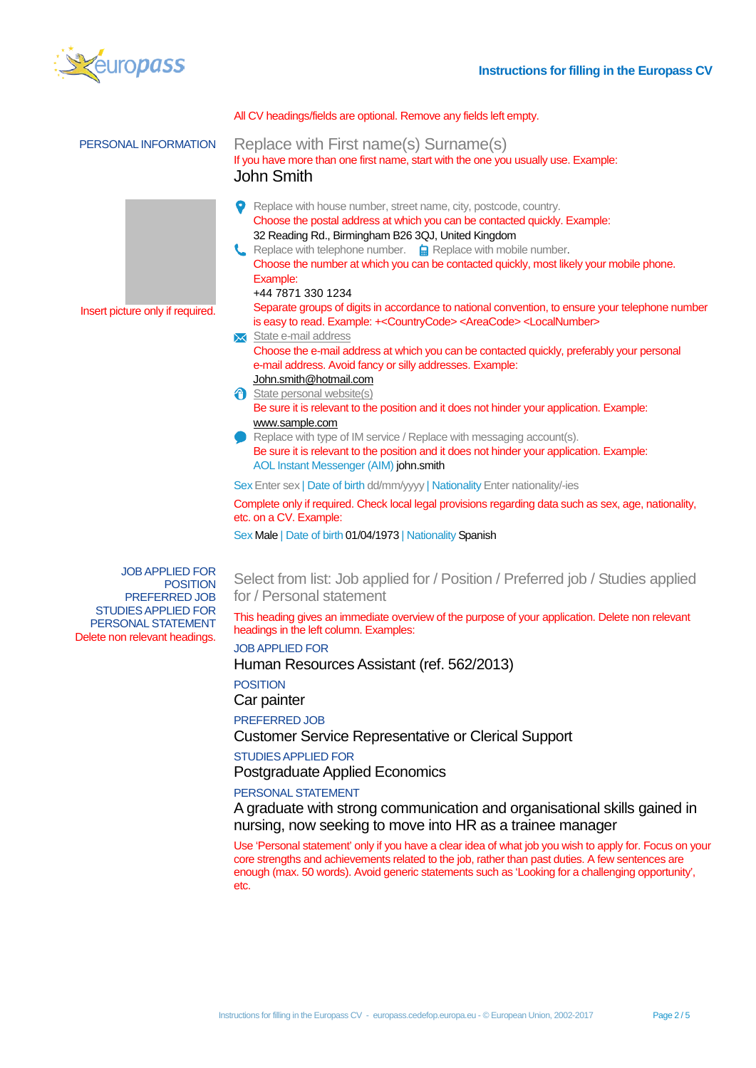

|                                                                                                                                                 | All CV headings/fields are optional. Remove any fields left empty.                                                                                                                                                                                                                                                                                                                                                                                                                                                                                                                                                                                                                                                                                                                                                                                                                                                                                                                                                                                                                                                                                       |
|-------------------------------------------------------------------------------------------------------------------------------------------------|----------------------------------------------------------------------------------------------------------------------------------------------------------------------------------------------------------------------------------------------------------------------------------------------------------------------------------------------------------------------------------------------------------------------------------------------------------------------------------------------------------------------------------------------------------------------------------------------------------------------------------------------------------------------------------------------------------------------------------------------------------------------------------------------------------------------------------------------------------------------------------------------------------------------------------------------------------------------------------------------------------------------------------------------------------------------------------------------------------------------------------------------------------|
| PERSONAL INFORMATION                                                                                                                            | Replace with First name(s) Surname(s)<br>If you have more than one first name, start with the one you usually use. Example:<br><b>John Smith</b>                                                                                                                                                                                                                                                                                                                                                                                                                                                                                                                                                                                                                                                                                                                                                                                                                                                                                                                                                                                                         |
| Insert picture only if required.                                                                                                                | Replace with house number, street name, city, postcode, country.<br>Choose the postal address at which you can be contacted quickly. Example:<br>32 Reading Rd., Birmingham B26 3QJ, United Kingdom<br>Replace with telephone number. <b>a</b> Replace with mobile number.<br>Choose the number at which you can be contacted quickly, most likely your mobile phone.<br>Example:<br>+44 7871 330 1234<br>Separate groups of digits in accordance to national convention, to ensure your telephone number<br>is easy to read. Example: +< Country Code> < Area Code> < Local Number><br>State e-mail address<br>Choose the e-mail address at which you can be contacted quickly, preferably your personal<br>e-mail address. Avoid fancy or silly addresses. Example:<br>John.smith@hotmail.com<br>State personal website(s)<br>Be sure it is relevant to the position and it does not hinder your application. Example:<br>www.sample.com<br>Replace with type of IM service / Replace with messaging account(s).<br>Be sure it is relevant to the position and it does not hinder your application. Example:<br>AOL Instant Messenger (AIM) john.smith |
|                                                                                                                                                 | Sex Enter sex   Date of birth dd/mm/yyyy   Nationality Enter nationality/-ies                                                                                                                                                                                                                                                                                                                                                                                                                                                                                                                                                                                                                                                                                                                                                                                                                                                                                                                                                                                                                                                                            |
|                                                                                                                                                 | Complete only if required. Check local legal provisions regarding data such as sex, age, nationality,<br>etc. on a CV. Example:                                                                                                                                                                                                                                                                                                                                                                                                                                                                                                                                                                                                                                                                                                                                                                                                                                                                                                                                                                                                                          |
|                                                                                                                                                 | Sex Male   Date of birth 01/04/1973   Nationality Spanish                                                                                                                                                                                                                                                                                                                                                                                                                                                                                                                                                                                                                                                                                                                                                                                                                                                                                                                                                                                                                                                                                                |
| <b>JOB APPLIED FOR</b><br><b>POSITION</b><br>PREFERRED JOB<br><b>STUDIES APPLIED FOR</b><br>PERSONAL STATEMENT<br>Delete non relevant headings. | Select from list: Job applied for / Position / Preferred job / Studies applied<br>for / Personal statement                                                                                                                                                                                                                                                                                                                                                                                                                                                                                                                                                                                                                                                                                                                                                                                                                                                                                                                                                                                                                                               |
|                                                                                                                                                 | This heading gives an immediate overview of the purpose of your application. Delete non relevant<br>headings in the left column. Examples:                                                                                                                                                                                                                                                                                                                                                                                                                                                                                                                                                                                                                                                                                                                                                                                                                                                                                                                                                                                                               |
|                                                                                                                                                 | <b>JOB APPLIED FOR</b><br>Human Resources Assistant (ref. 562/2013)                                                                                                                                                                                                                                                                                                                                                                                                                                                                                                                                                                                                                                                                                                                                                                                                                                                                                                                                                                                                                                                                                      |
|                                                                                                                                                 | <b>POSITION</b><br>Car painter                                                                                                                                                                                                                                                                                                                                                                                                                                                                                                                                                                                                                                                                                                                                                                                                                                                                                                                                                                                                                                                                                                                           |
|                                                                                                                                                 | PREFERRED JOB<br><b>Customer Service Representative or Clerical Support</b>                                                                                                                                                                                                                                                                                                                                                                                                                                                                                                                                                                                                                                                                                                                                                                                                                                                                                                                                                                                                                                                                              |
|                                                                                                                                                 | <b>STUDIES APPLIED FOR</b>                                                                                                                                                                                                                                                                                                                                                                                                                                                                                                                                                                                                                                                                                                                                                                                                                                                                                                                                                                                                                                                                                                                               |
|                                                                                                                                                 | <b>Postgraduate Applied Economics</b>                                                                                                                                                                                                                                                                                                                                                                                                                                                                                                                                                                                                                                                                                                                                                                                                                                                                                                                                                                                                                                                                                                                    |
|                                                                                                                                                 | PERSONAL STATEMENT                                                                                                                                                                                                                                                                                                                                                                                                                                                                                                                                                                                                                                                                                                                                                                                                                                                                                                                                                                                                                                                                                                                                       |
|                                                                                                                                                 | A graduate with strong communication and organisational skills gained in                                                                                                                                                                                                                                                                                                                                                                                                                                                                                                                                                                                                                                                                                                                                                                                                                                                                                                                                                                                                                                                                                 |

nursing, now seeking to move into HR as a trainee manager

Use 'Personal statement' only if you have a clear idea of what job you wish to apply for. Focus on your core strengths and achievements related to the job, rather than past duties. A few sentences are enough (max. 50 words). Avoid generic statements such as 'Looking for a challenging opportunity', etc.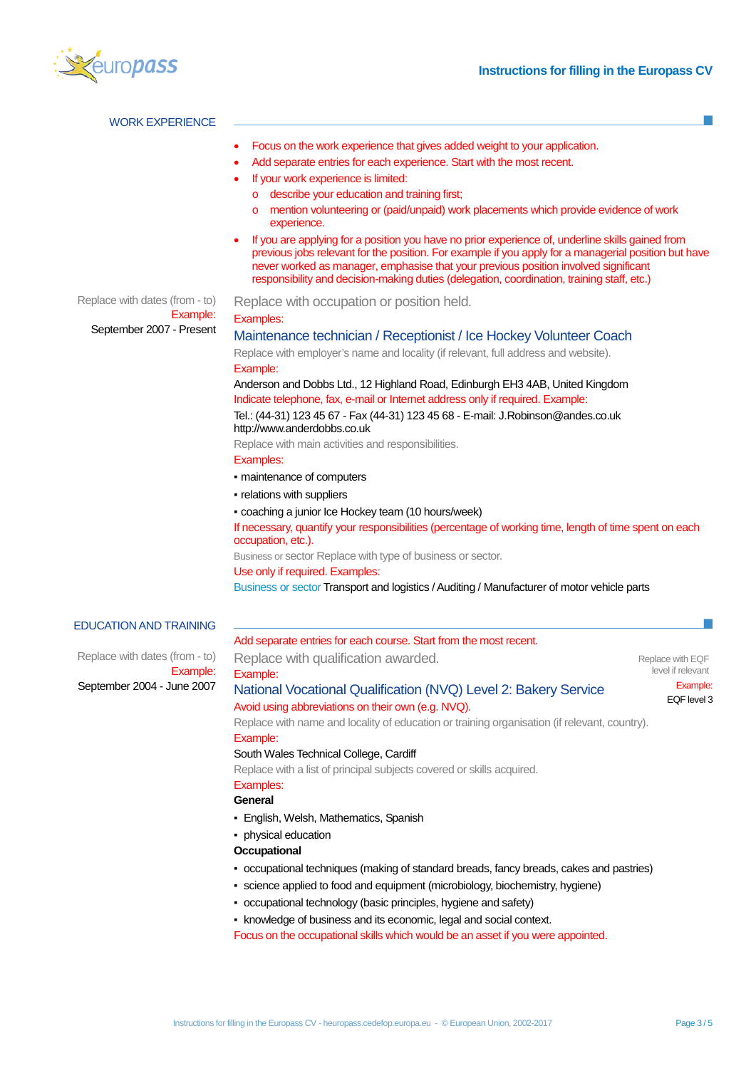

| <b>WORK EXPERIENCE</b>                     |                                                                                                                                                                                                                                                                                                                                                                                               |                   |  |  |  |  |  |
|--------------------------------------------|-----------------------------------------------------------------------------------------------------------------------------------------------------------------------------------------------------------------------------------------------------------------------------------------------------------------------------------------------------------------------------------------------|-------------------|--|--|--|--|--|
|                                            | Focus on the work experience that gives added weight to your application.                                                                                                                                                                                                                                                                                                                     |                   |  |  |  |  |  |
|                                            | Add separate entries for each experience. Start with the most recent.                                                                                                                                                                                                                                                                                                                         |                   |  |  |  |  |  |
|                                            | If your work experience is limited:                                                                                                                                                                                                                                                                                                                                                           |                   |  |  |  |  |  |
|                                            | describe your education and training first;<br>$\circ$                                                                                                                                                                                                                                                                                                                                        |                   |  |  |  |  |  |
|                                            | mention volunteering or (paid/unpaid) work placements which provide evidence of work<br>$\circ$<br>experience.                                                                                                                                                                                                                                                                                |                   |  |  |  |  |  |
|                                            | If you are applying for a position you have no prior experience of, underline skills gained from<br>previous jobs relevant for the position. For example if you apply for a managerial position but have<br>never worked as manager, emphasise that your previous position involved significant<br>responsibility and decision-making duties (delegation, coordination, training staff, etc.) |                   |  |  |  |  |  |
| Replace with dates (from - to)<br>Example: | Replace with occupation or position held.                                                                                                                                                                                                                                                                                                                                                     |                   |  |  |  |  |  |
| September 2007 - Present                   | Examples:                                                                                                                                                                                                                                                                                                                                                                                     |                   |  |  |  |  |  |
|                                            | Maintenance technician / Receptionist / Ice Hockey Volunteer Coach                                                                                                                                                                                                                                                                                                                            |                   |  |  |  |  |  |
|                                            | Replace with employer's name and locality (if relevant, full address and website).                                                                                                                                                                                                                                                                                                            |                   |  |  |  |  |  |
|                                            | Example:                                                                                                                                                                                                                                                                                                                                                                                      |                   |  |  |  |  |  |
|                                            | Anderson and Dobbs Ltd., 12 Highland Road, Edinburgh EH3 4AB, United Kingdom<br>Indicate telephone, fax, e-mail or Internet address only if required. Example:<br>Tel.: (44-31) 123 45 67 - Fax (44-31) 123 45 68 - E-mail: J.Robinson@andes.co.uk<br>http://www.anderdobbs.co.uk                                                                                                             |                   |  |  |  |  |  |
|                                            | Replace with main activities and responsibilities.                                                                                                                                                                                                                                                                                                                                            |                   |  |  |  |  |  |
|                                            | Examples:                                                                                                                                                                                                                                                                                                                                                                                     |                   |  |  |  |  |  |
|                                            | • maintenance of computers                                                                                                                                                                                                                                                                                                                                                                    |                   |  |  |  |  |  |
|                                            | - relations with suppliers                                                                                                                                                                                                                                                                                                                                                                    |                   |  |  |  |  |  |
|                                            |                                                                                                                                                                                                                                                                                                                                                                                               |                   |  |  |  |  |  |
|                                            | - coaching a junior Ice Hockey team (10 hours/week)                                                                                                                                                                                                                                                                                                                                           |                   |  |  |  |  |  |
|                                            | If necessary, quantify your responsibilities (percentage of working time, length of time spent on each<br>occupation, etc.).                                                                                                                                                                                                                                                                  |                   |  |  |  |  |  |
|                                            | Business or sector Replace with type of business or sector.                                                                                                                                                                                                                                                                                                                                   |                   |  |  |  |  |  |
|                                            | Use only if required. Examples:                                                                                                                                                                                                                                                                                                                                                               |                   |  |  |  |  |  |
|                                            | Business or sector Transport and logistics / Auditing / Manufacturer of motor vehicle parts                                                                                                                                                                                                                                                                                                   |                   |  |  |  |  |  |
| <b>EDUCATION AND TRAINING</b>              |                                                                                                                                                                                                                                                                                                                                                                                               |                   |  |  |  |  |  |
|                                            | Add separate entries for each course. Start from the most recent.                                                                                                                                                                                                                                                                                                                             |                   |  |  |  |  |  |
| Replace with dates (from - to)             | Replace with qualification awarded.                                                                                                                                                                                                                                                                                                                                                           | Replace with EQF  |  |  |  |  |  |
| Example:                                   | Example:                                                                                                                                                                                                                                                                                                                                                                                      | level if relevant |  |  |  |  |  |
| September 2004 - June 2007                 | National Vocational Qualification (NVQ) Level 2: Bakery Service                                                                                                                                                                                                                                                                                                                               | Example:          |  |  |  |  |  |
|                                            | Avoid using abbreviations on their own (e.g. NVQ).                                                                                                                                                                                                                                                                                                                                            | EQF level 3       |  |  |  |  |  |
|                                            | Replace with name and locality of education or training organisation (if relevant, country).                                                                                                                                                                                                                                                                                                  |                   |  |  |  |  |  |
|                                            | Example:                                                                                                                                                                                                                                                                                                                                                                                      |                   |  |  |  |  |  |
|                                            | South Wales Technical College, Cardiff                                                                                                                                                                                                                                                                                                                                                        |                   |  |  |  |  |  |
|                                            | Replace with a list of principal subjects covered or skills acquired.                                                                                                                                                                                                                                                                                                                         |                   |  |  |  |  |  |
|                                            | Examples:                                                                                                                                                                                                                                                                                                                                                                                     |                   |  |  |  |  |  |
|                                            | General                                                                                                                                                                                                                                                                                                                                                                                       |                   |  |  |  |  |  |
|                                            | • English, Welsh, Mathematics, Spanish                                                                                                                                                                                                                                                                                                                                                        |                   |  |  |  |  |  |
|                                            | • physical education                                                                                                                                                                                                                                                                                                                                                                          |                   |  |  |  |  |  |
|                                            | Occupational                                                                                                                                                                                                                                                                                                                                                                                  |                   |  |  |  |  |  |
|                                            | • occupational techniques (making of standard breads, fancy breads, cakes and pastries)                                                                                                                                                                                                                                                                                                       |                   |  |  |  |  |  |
|                                            |                                                                                                                                                                                                                                                                                                                                                                                               |                   |  |  |  |  |  |
|                                            | • science applied to food and equipment (microbiology, biochemistry, hygiene)                                                                                                                                                                                                                                                                                                                 |                   |  |  |  |  |  |
|                                            | • occupational technology (basic principles, hygiene and safety)                                                                                                                                                                                                                                                                                                                              |                   |  |  |  |  |  |
|                                            | • knowledge of business and its economic, legal and social context.                                                                                                                                                                                                                                                                                                                           |                   |  |  |  |  |  |
|                                            | Focus on the occupational skills which would be an asset if you were appointed.                                                                                                                                                                                                                                                                                                               |                   |  |  |  |  |  |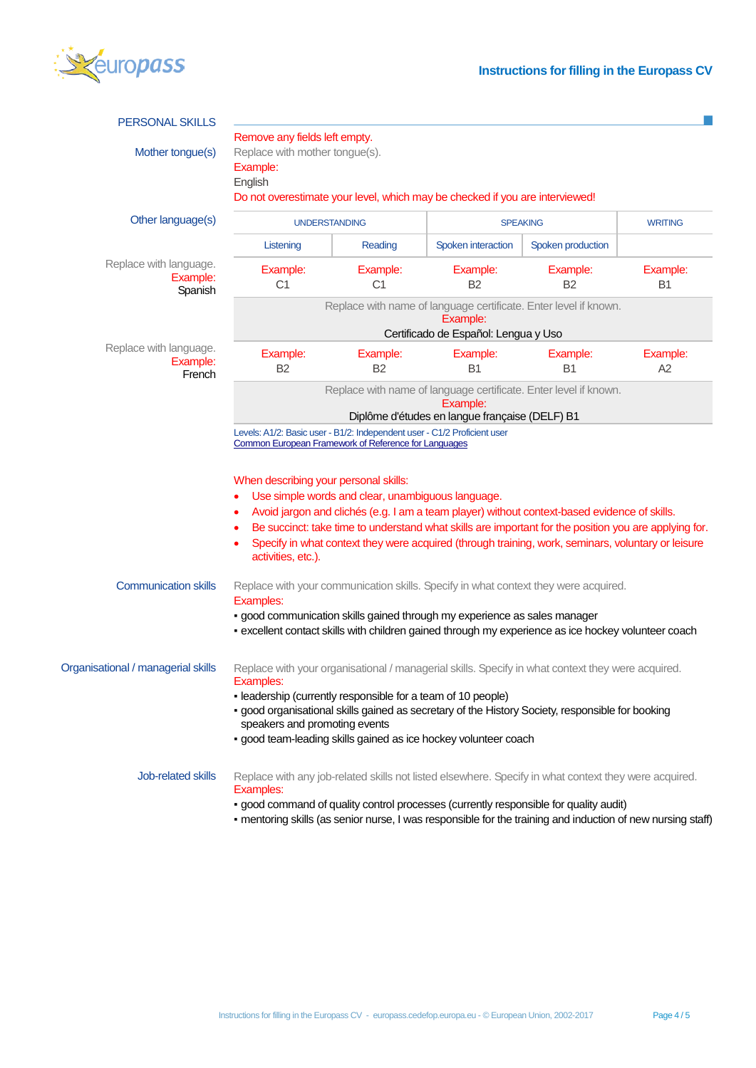

| <b>PERSONAL SKILLS</b>                        |                                                                                                                                                                                                                                                                                                                                                                                                                                 |                            |                       |                                                                                                                                                                                                                                                                                                               |                |  |
|-----------------------------------------------|---------------------------------------------------------------------------------------------------------------------------------------------------------------------------------------------------------------------------------------------------------------------------------------------------------------------------------------------------------------------------------------------------------------------------------|----------------------------|-----------------------|---------------------------------------------------------------------------------------------------------------------------------------------------------------------------------------------------------------------------------------------------------------------------------------------------------------|----------------|--|
| Mother tongue(s)                              | Remove any fields left empty.<br>Replace with mother tongue(s).<br>Example:<br>English<br>Do not overestimate your level, which may be checked if you are interviewed!                                                                                                                                                                                                                                                          |                            |                       |                                                                                                                                                                                                                                                                                                               |                |  |
| Other language(s)                             | <b>UNDERSTANDING</b>                                                                                                                                                                                                                                                                                                                                                                                                            |                            | <b>SPEAKING</b>       |                                                                                                                                                                                                                                                                                                               | <b>WRITING</b> |  |
|                                               | Listening                                                                                                                                                                                                                                                                                                                                                                                                                       | Reading                    | Spoken interaction    | Spoken production                                                                                                                                                                                                                                                                                             |                |  |
| Replace with language.<br>Example:<br>Spanish | Example:<br>C1                                                                                                                                                                                                                                                                                                                                                                                                                  | Example:<br>C <sub>1</sub> | Example:<br><b>B2</b> | Example:<br>B2                                                                                                                                                                                                                                                                                                | Example:<br>B1 |  |
|                                               | Replace with name of language certificate. Enter level if known.<br>Example:<br>Certificado de Español: Lengua y Uso                                                                                                                                                                                                                                                                                                            |                            |                       |                                                                                                                                                                                                                                                                                                               |                |  |
| Replace with language.<br>Example:<br>French  | Example:<br><b>B2</b>                                                                                                                                                                                                                                                                                                                                                                                                           | Example:<br><b>B2</b>      | Example:<br><b>B1</b> | Example:<br><b>B1</b>                                                                                                                                                                                                                                                                                         | Example:<br>A2 |  |
|                                               | Replace with name of language certificate. Enter level if known.<br>Example:<br>Diplôme d'études en langue française (DELF) B1                                                                                                                                                                                                                                                                                                  |                            |                       |                                                                                                                                                                                                                                                                                                               |                |  |
|                                               | When describing your personal skills:<br>Use simple words and clear, unambiguous language.<br>Avoid jargon and clichés (e.g. I am a team player) without context-based evidence of skills.<br>Be succinct: take time to understand what skills are important for the position you are applying for.<br>Specify in what context they were acquired (through training, work, seminars, voluntary or leisure<br>activities, etc.). |                            |                       |                                                                                                                                                                                                                                                                                                               |                |  |
| <b>Communication skills</b>                   | Replace with your communication skills. Specify in what context they were acquired.<br>Examples:<br>· good communication skills gained through my experience as sales manager<br>- excellent contact skills with children gained through my experience as ice hockey volunteer coach                                                                                                                                            |                            |                       |                                                                                                                                                                                                                                                                                                               |                |  |
| Organisational / managerial skills            | Replace with your organisational / managerial skills. Specify in what context they were acquired.<br>Examples:<br>- leadership (currently responsible for a team of 10 people)<br>· good organisational skills gained as secretary of the History Society, responsible for booking<br>speakers and promoting events<br>· good team-leading skills gained as ice hockey volunteer coach                                          |                            |                       |                                                                                                                                                                                                                                                                                                               |                |  |
| Job-related skills                            | Examples:                                                                                                                                                                                                                                                                                                                                                                                                                       |                            |                       | Replace with any job-related skills not listed elsewhere. Specify in what context they were acquired.<br>- good command of quality control processes (currently responsible for quality audit)<br>- mentoring skills (as senior nurse, I was responsible for the training and induction of new nursing staff) |                |  |